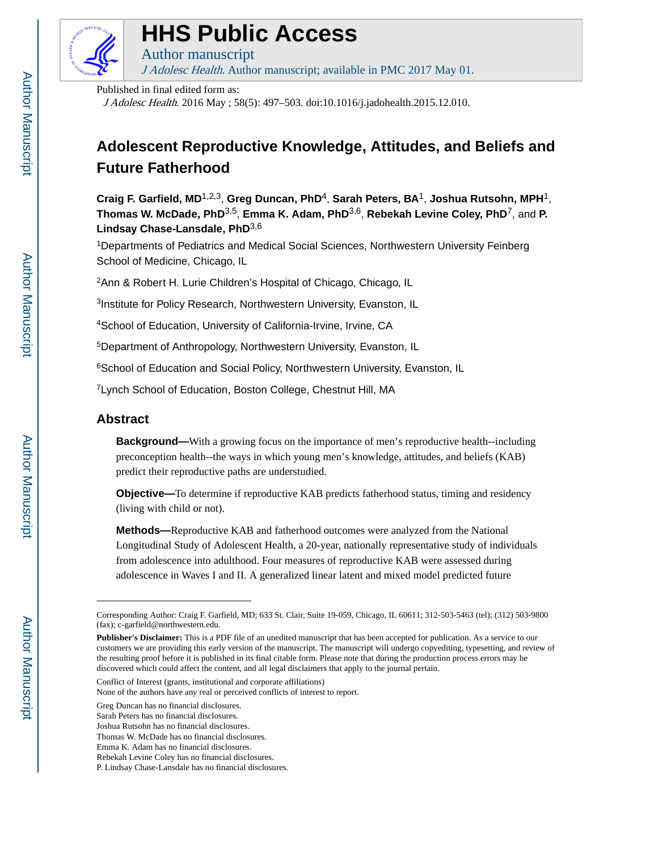

# **HHS Public Access**

Author manuscript J Adolesc Health. Author manuscript; available in PMC 2017 May 01.

Published in final edited form as:

J Adolesc Health. 2016 May ; 58(5): 497–503. doi:10.1016/j.jadohealth.2015.12.010.

# **Adolescent Reproductive Knowledge, Attitudes, and Beliefs and Future Fatherhood**

**Craig F. Garfield, MD**1,2,3, **Greg Duncan, PhD**4, **Sarah Peters, BA**1, **Joshua Rutsohn, MPH**1, **Thomas W. McDade, PhD**3,5, **Emma K. Adam, PhD**3,6, **Rebekah Levine Coley, PhD**7, and **P. Lindsay Chase-Lansdale, PhD**3,6

<sup>1</sup>Departments of Pediatrics and Medical Social Sciences, Northwestern University Feinberg School of Medicine, Chicago, IL

<sup>2</sup>Ann & Robert H. Lurie Children's Hospital of Chicago, Chicago, IL

<sup>3</sup>Institute for Policy Research, Northwestern University, Evanston, IL

<sup>4</sup>School of Education, University of California-Irvine, Irvine, CA

<sup>5</sup>Department of Anthropology, Northwestern University, Evanston, IL

<sup>6</sup>School of Education and Social Policy, Northwestern University, Evanston, IL

<sup>7</sup> Lynch School of Education, Boston College, Chestnut Hill, MA

# **Abstract**

**Background—**With a growing focus on the importance of men's reproductive health--including preconception health--the ways in which young men's knowledge, attitudes, and beliefs (KAB) predict their reproductive paths are understudied.

**Objective—**To determine if reproductive KAB predicts fatherhood status, timing and residency (living with child or not).

**Methods—**Reproductive KAB and fatherhood outcomes were analyzed from the National Longitudinal Study of Adolescent Health, a 20-year, nationally representative study of individuals from adolescence into adulthood. Four measures of reproductive KAB were assessed during adolescence in Waves I and II. A generalized linear latent and mixed model predicted future

Conflict of Interest (grants, institutional and corporate affiliations)

Corresponding Author: Craig F. Garfield, MD; 633 St. Clair, Suite 19-059, Chicago, IL 60611; 312-503-5463 (tel); (312) 503-9800 (fax); c-garfield@northwestern.edu.

**Publisher's Disclaimer:** This is a PDF file of an unedited manuscript that has been accepted for publication. As a service to our customers we are providing this early version of the manuscript. The manuscript will undergo copyediting, typesetting, and review of the resulting proof before it is published in its final citable form. Please note that during the production process errors may be discovered which could affect the content, and all legal disclaimers that apply to the journal pertain.

None of the authors have any real or perceived conflicts of interest to report.

Greg Duncan has no financial disclosures.

Sarah Peters has no financial disclosures.

Joshua Rutsohn has no financial disclosures.

Thomas W. McDade has no financial disclosures.

Emma K. Adam has no financial disclosures.

Rebekah Levine Coley has no financial disclosures.

P. Lindsay Chase-Lansdale has no financial disclosures.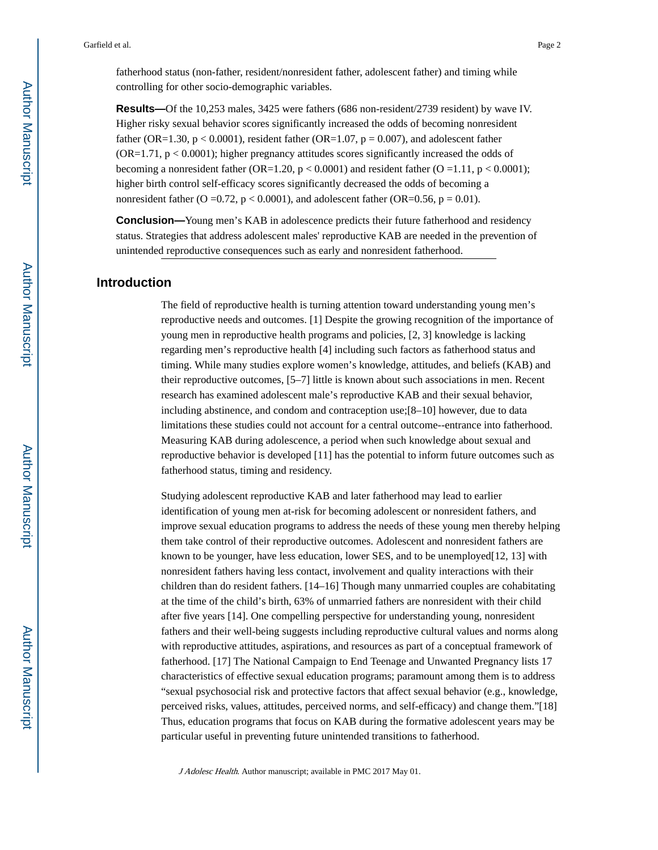fatherhood status (non-father, resident/nonresident father, adolescent father) and timing while controlling for other socio-demographic variables.

**Results—Of** the 10,253 males, 3425 were fathers (686 non-resident/2739 resident) by wave IV. Higher risky sexual behavior scores significantly increased the odds of becoming nonresident father (OR=1.30,  $p < 0.0001$ ), resident father (OR=1.07,  $p = 0.007$ ), and adolescent father (OR=1.71, p < 0.0001); higher pregnancy attitudes scores significantly increased the odds of becoming a nonresident father (OR=1.20,  $p < 0.0001$ ) and resident father (O = 1.11,  $p < 0.0001$ ); higher birth control self-efficacy scores significantly decreased the odds of becoming a nonresident father (O = 0.72,  $p < 0.0001$ ), and adolescent father (OR=0.56,  $p = 0.01$ ).

**Conclusion—**Young men's KAB in adolescence predicts their future fatherhood and residency status. Strategies that address adolescent males' reproductive KAB are needed in the prevention of unintended reproductive consequences such as early and nonresident fatherhood.

#### **Introduction**

The field of reproductive health is turning attention toward understanding young men's reproductive needs and outcomes. [1] Despite the growing recognition of the importance of young men in reproductive health programs and policies, [2, 3] knowledge is lacking regarding men's reproductive health [4] including such factors as fatherhood status and timing. While many studies explore women's knowledge, attitudes, and beliefs (KAB) and their reproductive outcomes, [5–7] little is known about such associations in men. Recent research has examined adolescent male's reproductive KAB and their sexual behavior, including abstinence, and condom and contraception use;[8–10] however, due to data limitations these studies could not account for a central outcome--entrance into fatherhood. Measuring KAB during adolescence, a period when such knowledge about sexual and reproductive behavior is developed [11] has the potential to inform future outcomes such as fatherhood status, timing and residency.

Studying adolescent reproductive KAB and later fatherhood may lead to earlier identification of young men at-risk for becoming adolescent or nonresident fathers, and improve sexual education programs to address the needs of these young men thereby helping them take control of their reproductive outcomes. Adolescent and nonresident fathers are known to be younger, have less education, lower SES, and to be unemployed  $[12, 13]$  with nonresident fathers having less contact, involvement and quality interactions with their children than do resident fathers. [14–16] Though many unmarried couples are cohabitating at the time of the child's birth, 63% of unmarried fathers are nonresident with their child after five years [14]. One compelling perspective for understanding young, nonresident fathers and their well-being suggests including reproductive cultural values and norms along with reproductive attitudes, aspirations, and resources as part of a conceptual framework of fatherhood. [17] The National Campaign to End Teenage and Unwanted Pregnancy lists 17 characteristics of effective sexual education programs; paramount among them is to address "sexual psychosocial risk and protective factors that affect sexual behavior (e.g., knowledge, perceived risks, values, attitudes, perceived norms, and self-efficacy) and change them."[18] Thus, education programs that focus on KAB during the formative adolescent years may be particular useful in preventing future unintended transitions to fatherhood.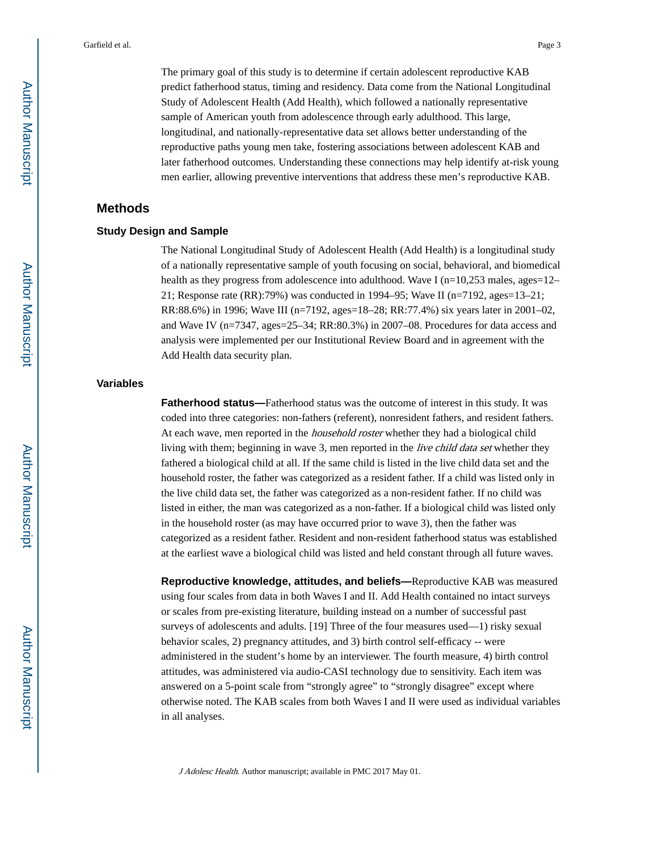The primary goal of this study is to determine if certain adolescent reproductive KAB predict fatherhood status, timing and residency. Data come from the National Longitudinal Study of Adolescent Health (Add Health), which followed a nationally representative sample of American youth from adolescence through early adulthood. This large, longitudinal, and nationally-representative data set allows better understanding of the reproductive paths young men take, fostering associations between adolescent KAB and later fatherhood outcomes. Understanding these connections may help identify at-risk young men earlier, allowing preventive interventions that address these men's reproductive KAB.

# **Methods**

#### **Study Design and Sample**

The National Longitudinal Study of Adolescent Health (Add Health) is a longitudinal study of a nationally representative sample of youth focusing on social, behavioral, and biomedical health as they progress from adolescence into adulthood. Wave I ( $n=10,253$  males, ages=12– 21; Response rate (RR):79%) was conducted in 1994–95; Wave II (n=7192, ages=13–21; RR:88.6%) in 1996; Wave III (n=7192, ages=18–28; RR:77.4%) six years later in 2001–02, and Wave IV (n=7347, ages=25–34; RR:80.3%) in 2007–08. Procedures for data access and analysis were implemented per our Institutional Review Board and in agreement with the Add Health data security plan.

#### **Variables**

**Fatherhood status—**Fatherhood status was the outcome of interest in this study. It was coded into three categories: non-fathers (referent), nonresident fathers, and resident fathers. At each wave, men reported in the *household roster* whether they had a biological child living with them; beginning in wave 3, men reported in the *live child data set* whether they fathered a biological child at all. If the same child is listed in the live child data set and the household roster, the father was categorized as a resident father. If a child was listed only in the live child data set, the father was categorized as a non-resident father. If no child was listed in either, the man was categorized as a non-father. If a biological child was listed only in the household roster (as may have occurred prior to wave 3), then the father was categorized as a resident father. Resident and non-resident fatherhood status was established at the earliest wave a biological child was listed and held constant through all future waves.

**Reproductive knowledge, attitudes, and beliefs—**Reproductive KAB was measured using four scales from data in both Waves I and II. Add Health contained no intact surveys or scales from pre-existing literature, building instead on a number of successful past surveys of adolescents and adults. [19] Three of the four measures used—1) risky sexual behavior scales, 2) pregnancy attitudes, and 3) birth control self-efficacy -- were administered in the student's home by an interviewer. The fourth measure, 4) birth control attitudes, was administered via audio-CASI technology due to sensitivity. Each item was answered on a 5-point scale from "strongly agree" to "strongly disagree" except where otherwise noted. The KAB scales from both Waves I and II were used as individual variables in all analyses.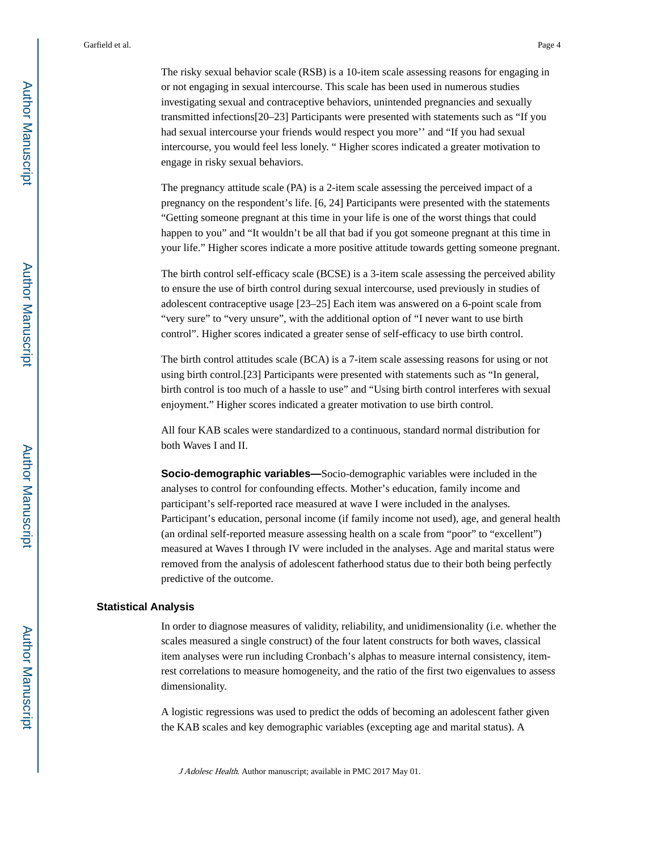The risky sexual behavior scale (RSB) is a 10-item scale assessing reasons for engaging in or not engaging in sexual intercourse. This scale has been used in numerous studies investigating sexual and contraceptive behaviors, unintended pregnancies and sexually transmitted infections[20–23] Participants were presented with statements such as "If you had sexual intercourse your friends would respect you more'' and "If you had sexual intercourse, you would feel less lonely. " Higher scores indicated a greater motivation to engage in risky sexual behaviors.

The pregnancy attitude scale (PA) is a 2-item scale assessing the perceived impact of a pregnancy on the respondent's life. [6, 24] Participants were presented with the statements "Getting someone pregnant at this time in your life is one of the worst things that could happen to you" and "It wouldn't be all that bad if you got someone pregnant at this time in your life." Higher scores indicate a more positive attitude towards getting someone pregnant.

The birth control self-efficacy scale (BCSE) is a 3-item scale assessing the perceived ability to ensure the use of birth control during sexual intercourse, used previously in studies of adolescent contraceptive usage [23–25] Each item was answered on a 6-point scale from "very sure" to "very unsure", with the additional option of "I never want to use birth control". Higher scores indicated a greater sense of self-efficacy to use birth control.

The birth control attitudes scale (BCA) is a 7-item scale assessing reasons for using or not using birth control.[23] Participants were presented with statements such as "In general, birth control is too much of a hassle to use" and "Using birth control interferes with sexual enjoyment." Higher scores indicated a greater motivation to use birth control.

All four KAB scales were standardized to a continuous, standard normal distribution for both Waves I and II.

**Socio-demographic variables—**Socio-demographic variables were included in the analyses to control for confounding effects. Mother's education, family income and participant's self-reported race measured at wave I were included in the analyses. Participant's education, personal income (if family income not used), age, and general health (an ordinal self-reported measure assessing health on a scale from "poor" to "excellent") measured at Waves I through IV were included in the analyses. Age and marital status were removed from the analysis of adolescent fatherhood status due to their both being perfectly predictive of the outcome.

#### **Statistical Analysis**

In order to diagnose measures of validity, reliability, and unidimensionality (i.e. whether the scales measured a single construct) of the four latent constructs for both waves, classical item analyses were run including Cronbach's alphas to measure internal consistency, itemrest correlations to measure homogeneity, and the ratio of the first two eigenvalues to assess dimensionality.

A logistic regressions was used to predict the odds of becoming an adolescent father given the KAB scales and key demographic variables (excepting age and marital status). A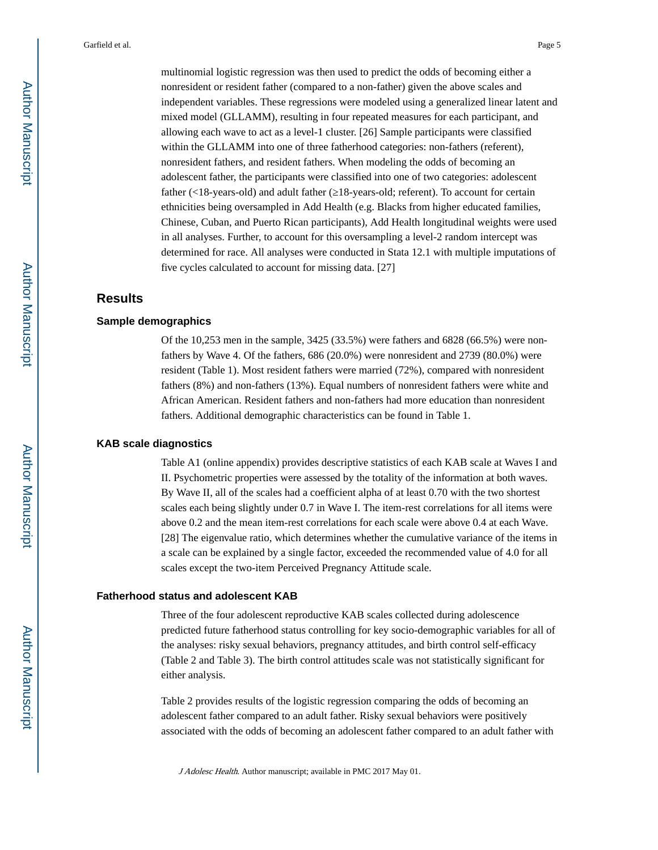multinomial logistic regression was then used to predict the odds of becoming either a nonresident or resident father (compared to a non-father) given the above scales and independent variables. These regressions were modeled using a generalized linear latent and mixed model (GLLAMM), resulting in four repeated measures for each participant, and allowing each wave to act as a level-1 cluster. [26] Sample participants were classified within the GLLAMM into one of three fatherhood categories: non-fathers (referent), nonresident fathers, and resident fathers. When modeling the odds of becoming an adolescent father, the participants were classified into one of two categories: adolescent father (<18-years-old) and adult father (–18-years-old; referent). To account for certain ethnicities being oversampled in Add Health (e.g. Blacks from higher educated families, Chinese, Cuban, and Puerto Rican participants), Add Health longitudinal weights were used in all analyses. Further, to account for this oversampling a level-2 random intercept was determined for race. All analyses were conducted in Stata 12.1 with multiple imputations of five cycles calculated to account for missing data. [27]

#### **Results**

#### **Sample demographics**

Of the 10,253 men in the sample, 3425 (33.5%) were fathers and 6828 (66.5%) were nonfathers by Wave 4. Of the fathers, 686 (20.0%) were nonresident and 2739 (80.0%) were resident (Table 1). Most resident fathers were married (72%), compared with nonresident fathers (8%) and non-fathers (13%). Equal numbers of nonresident fathers were white and African American. Resident fathers and non-fathers had more education than nonresident fathers. Additional demographic characteristics can be found in Table 1.

#### **KAB scale diagnostics**

Table A1 (online appendix) provides descriptive statistics of each KAB scale at Waves I and II. Psychometric properties were assessed by the totality of the information at both waves. By Wave II, all of the scales had a coefficient alpha of at least 0.70 with the two shortest scales each being slightly under 0.7 in Wave I. The item-rest correlations for all items were above 0.2 and the mean item-rest correlations for each scale were above 0.4 at each Wave. [28] The eigenvalue ratio, which determines whether the cumulative variance of the items in a scale can be explained by a single factor, exceeded the recommended value of 4.0 for all scales except the two-item Perceived Pregnancy Attitude scale.

#### **Fatherhood status and adolescent KAB**

Three of the four adolescent reproductive KAB scales collected during adolescence predicted future fatherhood status controlling for key socio-demographic variables for all of the analyses: risky sexual behaviors, pregnancy attitudes, and birth control self-efficacy (Table 2 and Table 3). The birth control attitudes scale was not statistically significant for either analysis.

Table 2 provides results of the logistic regression comparing the odds of becoming an adolescent father compared to an adult father. Risky sexual behaviors were positively associated with the odds of becoming an adolescent father compared to an adult father with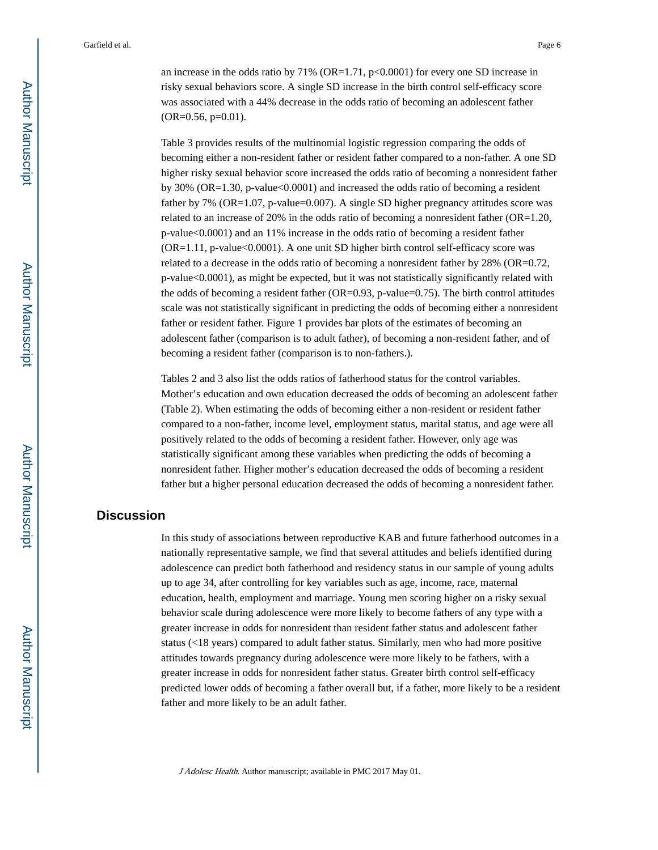an increase in the odds ratio by  $71\%$  (OR=1.71, p<0.0001) for every one SD increase in risky sexual behaviors score. A single SD increase in the birth control self-efficacy score was associated with a 44% decrease in the odds ratio of becoming an adolescent father (OR=0.56, p=0.01).

Table 3 provides results of the multinomial logistic regression comparing the odds of becoming either a non-resident father or resident father compared to a non-father. A one SD higher risky sexual behavior score increased the odds ratio of becoming a nonresident father by 30% (OR=1.30, p-value<0.0001) and increased the odds ratio of becoming a resident father by 7% (OR=1.07, p-value=0.007). A single SD higher pregnancy attitudes score was related to an increase of 20% in the odds ratio of becoming a nonresident father (OR=1.20, p-value<0.0001) and an 11% increase in the odds ratio of becoming a resident father (OR=1.11, p-value<0.0001). A one unit SD higher birth control self-efficacy score was related to a decrease in the odds ratio of becoming a nonresident father by 28% (OR=0.72, p-value<0.0001), as might be expected, but it was not statistically significantly related with the odds of becoming a resident father ( $OR=0.93$ , p-value=0.75). The birth control attitudes scale was not statistically significant in predicting the odds of becoming either a nonresident father or resident father. Figure 1 provides bar plots of the estimates of becoming an adolescent father (comparison is to adult father), of becoming a non-resident father, and of becoming a resident father (comparison is to non-fathers.).

Tables 2 and 3 also list the odds ratios of fatherhood status for the control variables. Mother's education and own education decreased the odds of becoming an adolescent father (Table 2). When estimating the odds of becoming either a non-resident or resident father compared to a non-father, income level, employment status, marital status, and age were all positively related to the odds of becoming a resident father. However, only age was statistically significant among these variables when predicting the odds of becoming a nonresident father. Higher mother's education decreased the odds of becoming a resident father but a higher personal education decreased the odds of becoming a nonresident father.

# **Discussion**

In this study of associations between reproductive KAB and future fatherhood outcomes in a nationally representative sample, we find that several attitudes and beliefs identified during adolescence can predict both fatherhood and residency status in our sample of young adults up to age 34, after controlling for key variables such as age, income, race, maternal education, health, employment and marriage. Young men scoring higher on a risky sexual behavior scale during adolescence were more likely to become fathers of any type with a greater increase in odds for nonresident than resident father status and adolescent father status (<18 years) compared to adult father status. Similarly, men who had more positive attitudes towards pregnancy during adolescence were more likely to be fathers, with a greater increase in odds for nonresident father status. Greater birth control self-efficacy predicted lower odds of becoming a father overall but, if a father, more likely to be a resident father and more likely to be an adult father.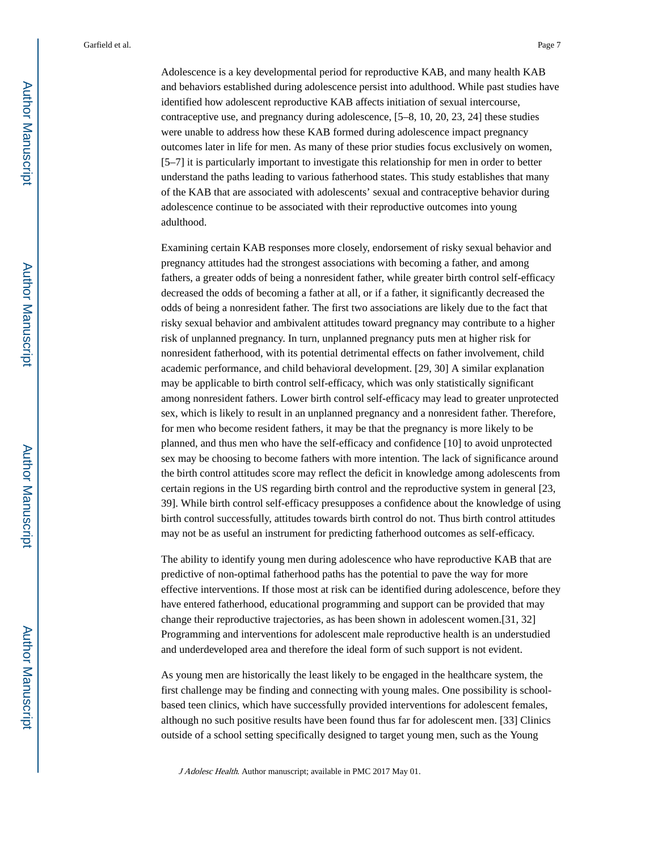Adolescence is a key developmental period for reproductive KAB, and many health KAB and behaviors established during adolescence persist into adulthood. While past studies have identified how adolescent reproductive KAB affects initiation of sexual intercourse, contraceptive use, and pregnancy during adolescence, [5–8, 10, 20, 23, 24] these studies were unable to address how these KAB formed during adolescence impact pregnancy outcomes later in life for men. As many of these prior studies focus exclusively on women, [5–7] it is particularly important to investigate this relationship for men in order to better understand the paths leading to various fatherhood states. This study establishes that many of the KAB that are associated with adolescents' sexual and contraceptive behavior during adolescence continue to be associated with their reproductive outcomes into young adulthood.

Examining certain KAB responses more closely, endorsement of risky sexual behavior and pregnancy attitudes had the strongest associations with becoming a father, and among fathers, a greater odds of being a nonresident father, while greater birth control self-efficacy decreased the odds of becoming a father at all, or if a father, it significantly decreased the odds of being a nonresident father. The first two associations are likely due to the fact that risky sexual behavior and ambivalent attitudes toward pregnancy may contribute to a higher risk of unplanned pregnancy. In turn, unplanned pregnancy puts men at higher risk for nonresident fatherhood, with its potential detrimental effects on father involvement, child academic performance, and child behavioral development. [29, 30] A similar explanation may be applicable to birth control self-efficacy, which was only statistically significant among nonresident fathers. Lower birth control self-efficacy may lead to greater unprotected sex, which is likely to result in an unplanned pregnancy and a nonresident father. Therefore, for men who become resident fathers, it may be that the pregnancy is more likely to be planned, and thus men who have the self-efficacy and confidence [10] to avoid unprotected sex may be choosing to become fathers with more intention. The lack of significance around the birth control attitudes score may reflect the deficit in knowledge among adolescents from certain regions in the US regarding birth control and the reproductive system in general [23, 39]. While birth control self-efficacy presupposes a confidence about the knowledge of using birth control successfully, attitudes towards birth control do not. Thus birth control attitudes may not be as useful an instrument for predicting fatherhood outcomes as self-efficacy.

The ability to identify young men during adolescence who have reproductive KAB that are predictive of non-optimal fatherhood paths has the potential to pave the way for more effective interventions. If those most at risk can be identified during adolescence, before they have entered fatherhood, educational programming and support can be provided that may change their reproductive trajectories, as has been shown in adolescent women.[31, 32] Programming and interventions for adolescent male reproductive health is an understudied and underdeveloped area and therefore the ideal form of such support is not evident.

As young men are historically the least likely to be engaged in the healthcare system, the first challenge may be finding and connecting with young males. One possibility is schoolbased teen clinics, which have successfully provided interventions for adolescent females, although no such positive results have been found thus far for adolescent men. [33] Clinics outside of a school setting specifically designed to target young men, such as the Young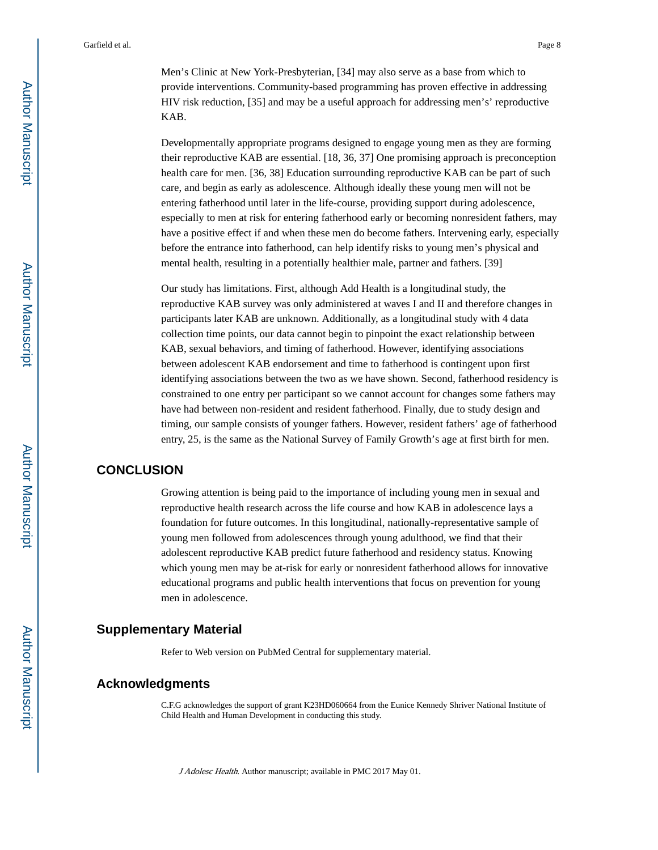Men's Clinic at New York-Presbyterian, [34] may also serve as a base from which to provide interventions. Community-based programming has proven effective in addressing HIV risk reduction, [35] and may be a useful approach for addressing men's' reproductive KAB.

Developmentally appropriate programs designed to engage young men as they are forming their reproductive KAB are essential. [18, 36, 37] One promising approach is preconception health care for men. [36, 38] Education surrounding reproductive KAB can be part of such care, and begin as early as adolescence. Although ideally these young men will not be entering fatherhood until later in the life-course, providing support during adolescence, especially to men at risk for entering fatherhood early or becoming nonresident fathers, may have a positive effect if and when these men do become fathers. Intervening early, especially before the entrance into fatherhood, can help identify risks to young men's physical and mental health, resulting in a potentially healthier male, partner and fathers. [39]

Our study has limitations. First, although Add Health is a longitudinal study, the reproductive KAB survey was only administered at waves I and II and therefore changes in participants later KAB are unknown. Additionally, as a longitudinal study with 4 data collection time points, our data cannot begin to pinpoint the exact relationship between KAB, sexual behaviors, and timing of fatherhood. However, identifying associations between adolescent KAB endorsement and time to fatherhood is contingent upon first identifying associations between the two as we have shown. Second, fatherhood residency is constrained to one entry per participant so we cannot account for changes some fathers may have had between non-resident and resident fatherhood. Finally, due to study design and timing, our sample consists of younger fathers. However, resident fathers' age of fatherhood entry, 25, is the same as the National Survey of Family Growth's age at first birth for men.

#### **CONCLUSION**

Growing attention is being paid to the importance of including young men in sexual and reproductive health research across the life course and how KAB in adolescence lays a foundation for future outcomes. In this longitudinal, nationally-representative sample of young men followed from adolescences through young adulthood, we find that their adolescent reproductive KAB predict future fatherhood and residency status. Knowing which young men may be at-risk for early or nonresident fatherhood allows for innovative educational programs and public health interventions that focus on prevention for young men in adolescence.

#### **Supplementary Material**

Refer to Web version on PubMed Central for supplementary material.

#### **Acknowledgments**

C.F.G acknowledges the support of grant K23HD060664 from the Eunice Kennedy Shriver National Institute of Child Health and Human Development in conducting this study.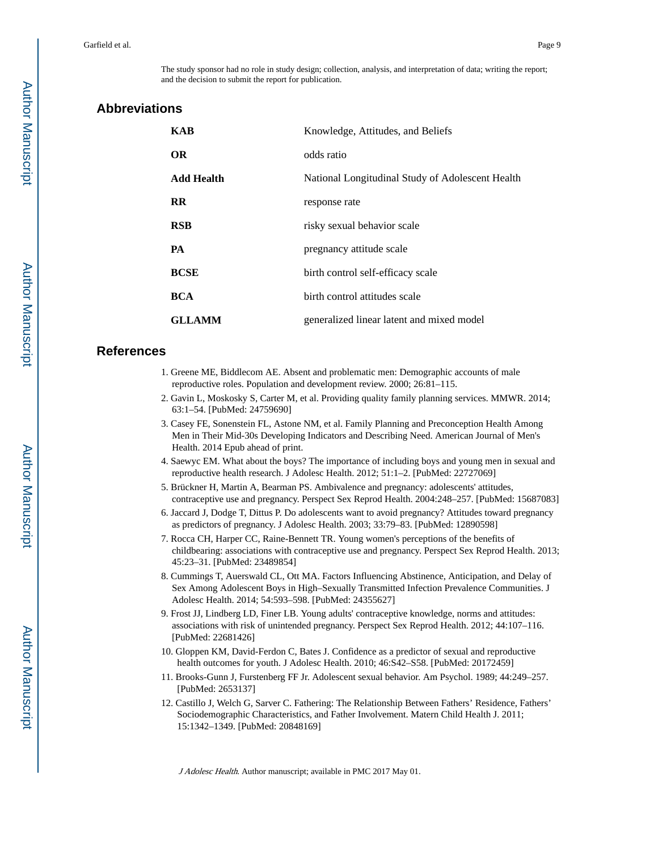### **Abbreviations**

| <b>KAB</b>        | Knowledge, Attitudes, and Beliefs                |
|-------------------|--------------------------------------------------|
| <b>OR</b>         | odds ratio                                       |
| <b>Add Health</b> | National Longitudinal Study of Adolescent Health |
| $\bf RR$          | response rate                                    |
| <b>RSB</b>        | risky sexual behavior scale                      |
| PA                | pregnancy attitude scale                         |
| <b>BCSE</b>       | birth control self-efficacy scale                |
| <b>BCA</b>        | birth control attitudes scale                    |
| <b>GLLAMM</b>     | generalized linear latent and mixed model        |

#### **References**

- 1. Greene ME, Biddlecom AE. Absent and problematic men: Demographic accounts of male reproductive roles. Population and development review. 2000; 26:81–115.
- 2. Gavin L, Moskosky S, Carter M, et al. Providing quality family planning services. MMWR. 2014; 63:1–54. [PubMed: 24759690]
- 3. Casey FE, Sonenstein FL, Astone NM, et al. Family Planning and Preconception Health Among Men in Their Mid-30s Developing Indicators and Describing Need. American Journal of Men's Health. 2014 Epub ahead of print.
- 4. Saewyc EM. What about the boys? The importance of including boys and young men in sexual and reproductive health research. J Adolesc Health. 2012; 51:1–2. [PubMed: 22727069]
- 5. Brückner H, Martin A, Bearman PS. Ambivalence and pregnancy: adolescents' attitudes, contraceptive use and pregnancy. Perspect Sex Reprod Health. 2004:248–257. [PubMed: 15687083]
- 6. Jaccard J, Dodge T, Dittus P. Do adolescents want to avoid pregnancy? Attitudes toward pregnancy as predictors of pregnancy. J Adolesc Health. 2003; 33:79–83. [PubMed: 12890598]
- 7. Rocca CH, Harper CC, Raine-Bennett TR. Young women's perceptions of the benefits of childbearing: associations with contraceptive use and pregnancy. Perspect Sex Reprod Health. 2013; 45:23–31. [PubMed: 23489854]
- 8. Cummings T, Auerswald CL, Ott MA. Factors Influencing Abstinence, Anticipation, and Delay of Sex Among Adolescent Boys in High–Sexually Transmitted Infection Prevalence Communities. J Adolesc Health. 2014; 54:593–598. [PubMed: 24355627]
- 9. Frost JJ, Lindberg LD, Finer LB. Young adults' contraceptive knowledge, norms and attitudes: associations with risk of unintended pregnancy. Perspect Sex Reprod Health. 2012; 44:107–116. [PubMed: 22681426]
- 10. Gloppen KM, David-Ferdon C, Bates J. Confidence as a predictor of sexual and reproductive health outcomes for youth. J Adolesc Health. 2010; 46:S42–S58. [PubMed: 20172459]
- 11. Brooks-Gunn J, Furstenberg FF Jr. Adolescent sexual behavior. Am Psychol. 1989; 44:249–257. [PubMed: 2653137]
- 12. Castillo J, Welch G, Sarver C. Fathering: The Relationship Between Fathers' Residence, Fathers' Sociodemographic Characteristics, and Father Involvement. Matern Child Health J. 2011; 15:1342–1349. [PubMed: 20848169]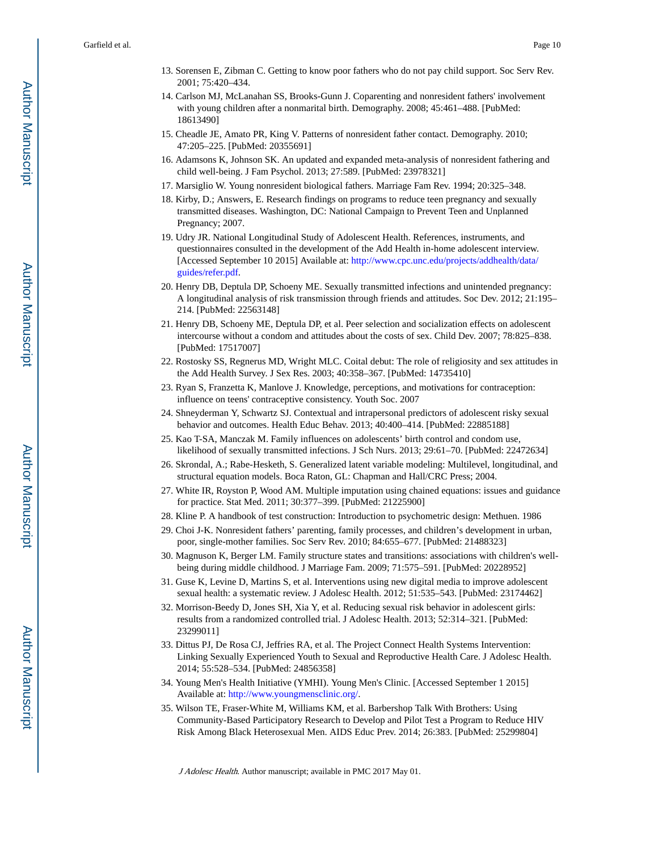- 13. Sorensen E, Zibman C. Getting to know poor fathers who do not pay child support. Soc Serv Rev. 2001; 75:420–434.
- 14. Carlson MJ, McLanahan SS, Brooks-Gunn J. Coparenting and nonresident fathers' involvement with young children after a nonmarital birth. Demography. 2008; 45:461–488. [PubMed: 18613490]
- 15. Cheadle JE, Amato PR, King V. Patterns of nonresident father contact. Demography. 2010; 47:205–225. [PubMed: 20355691]
- 16. Adamsons K, Johnson SK. An updated and expanded meta-analysis of nonresident fathering and child well-being. J Fam Psychol. 2013; 27:589. [PubMed: 23978321]
- 17. Marsiglio W. Young nonresident biological fathers. Marriage Fam Rev. 1994; 20:325–348.
- 18. Kirby, D.; Answers, E. Research findings on programs to reduce teen pregnancy and sexually transmitted diseases. Washington, DC: National Campaign to Prevent Teen and Unplanned Pregnancy; 2007.
- 19. Udry JR. National Longitudinal Study of Adolescent Health. References, instruments, and questionnaires consulted in the development of the Add Health in-home adolescent interview. [Accessed September 10 2015] Available at: [http://www.cpc.unc.edu/projects/addhealth/data/](http://www.cpc.unc.edu/projects/addhealth/data/guides/refer.pdf) [guides/refer.pdf.](http://www.cpc.unc.edu/projects/addhealth/data/guides/refer.pdf)
- 20. Henry DB, Deptula DP, Schoeny ME. Sexually transmitted infections and unintended pregnancy: A longitudinal analysis of risk transmission through friends and attitudes. Soc Dev. 2012; 21:195– 214. [PubMed: 22563148]
- 21. Henry DB, Schoeny ME, Deptula DP, et al. Peer selection and socialization effects on adolescent intercourse without a condom and attitudes about the costs of sex. Child Dev. 2007; 78:825–838. [PubMed: 17517007]
- 22. Rostosky SS, Regnerus MD, Wright MLC. Coital debut: The role of religiosity and sex attitudes in the Add Health Survey. J Sex Res. 2003; 40:358–367. [PubMed: 14735410]
- 23. Ryan S, Franzetta K, Manlove J. Knowledge, perceptions, and motivations for contraception: influence on teens' contraceptive consistency. Youth Soc. 2007
- 24. Shneyderman Y, Schwartz SJ. Contextual and intrapersonal predictors of adolescent risky sexual behavior and outcomes. Health Educ Behav. 2013; 40:400–414. [PubMed: 22885188]
- 25. Kao T-SA, Manczak M. Family influences on adolescents' birth control and condom use, likelihood of sexually transmitted infections. J Sch Nurs. 2013; 29:61–70. [PubMed: 22472634]
- 26. Skrondal, A.; Rabe-Hesketh, S. Generalized latent variable modeling: Multilevel, longitudinal, and structural equation models. Boca Raton, GL: Chapman and Hall/CRC Press; 2004.
- 27. White IR, Royston P, Wood AM. Multiple imputation using chained equations: issues and guidance for practice. Stat Med. 2011; 30:377–399. [PubMed: 21225900]
- 28. Kline P. A handbook of test construction: Introduction to psychometric design: Methuen. 1986
- 29. Choi J-K. Nonresident fathers' parenting, family processes, and children's development in urban, poor, single-mother families. Soc Serv Rev. 2010; 84:655–677. [PubMed: 21488323]
- 30. Magnuson K, Berger LM. Family structure states and transitions: associations with children's wellbeing during middle childhood. J Marriage Fam. 2009; 71:575–591. [PubMed: 20228952]
- 31. Guse K, Levine D, Martins S, et al. Interventions using new digital media to improve adolescent sexual health: a systematic review. J Adolesc Health. 2012; 51:535–543. [PubMed: 23174462]
- 32. Morrison-Beedy D, Jones SH, Xia Y, et al. Reducing sexual risk behavior in adolescent girls: results from a randomized controlled trial. J Adolesc Health. 2013; 52:314–321. [PubMed: 23299011]
- 33. Dittus PJ, De Rosa CJ, Jeffries RA, et al. The Project Connect Health Systems Intervention: Linking Sexually Experienced Youth to Sexual and Reproductive Health Care. J Adolesc Health. 2014; 55:528–534. [PubMed: 24856358]
- 34. Young Men's Health Initiative (YMHI). Young Men's Clinic. [Accessed September 1 2015] Available at: <http://www.youngmensclinic.org/>.
- 35. Wilson TE, Fraser-White M, Williams KM, et al. Barbershop Talk With Brothers: Using Community-Based Participatory Research to Develop and Pilot Test a Program to Reduce HIV Risk Among Black Heterosexual Men. AIDS Educ Prev. 2014; 26:383. [PubMed: 25299804]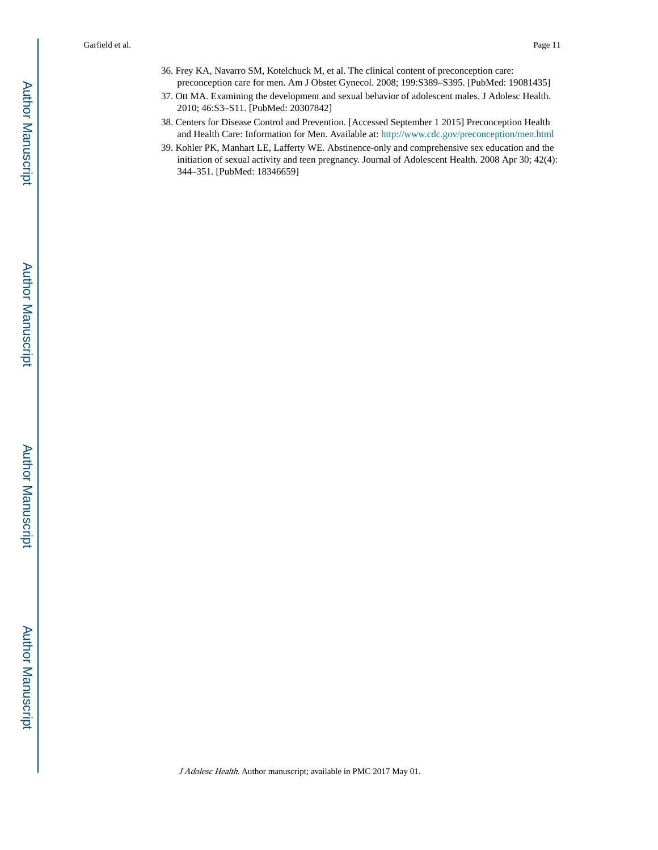- 36. Frey KA, Navarro SM, Kotelchuck M, et al. The clinical content of preconception care: preconception care for men. Am J Obstet Gynecol. 2008; 199:S389–S395. [PubMed: 19081435]
- 37. Ott MA. Examining the development and sexual behavior of adolescent males. J Adolesc Health. 2010; 46:S3–S11. [PubMed: 20307842]
- 38. Centers for Disease Control and Prevention. [Accessed September 1 2015] Preconception Health and Health Care: Information for Men. Available at: <http://www.cdc.gov/preconception/men.html>
- 39. Kohler PK, Manhart LE, Lafferty WE. Abstinence-only and comprehensive sex education and the initiation of sexual activity and teen pregnancy. Journal of Adolescent Health. 2008 Apr 30; 42(4): 344–351. [PubMed: 18346659]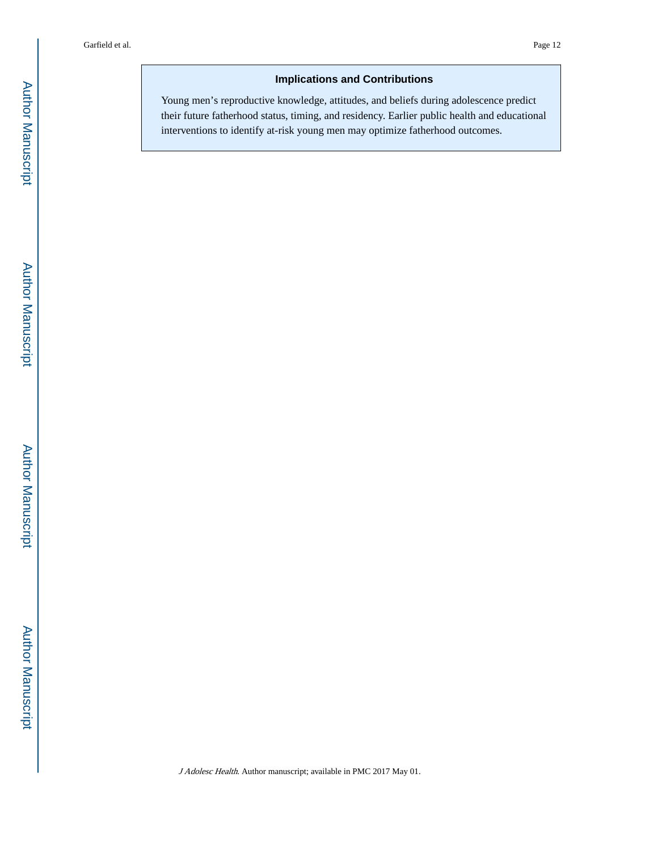# **Implications and Contributions**

Young men's reproductive knowledge, attitudes, and beliefs during adolescence predict their future fatherhood status, timing, and residency. Earlier public health and educational interventions to identify at-risk young men may optimize fatherhood outcomes.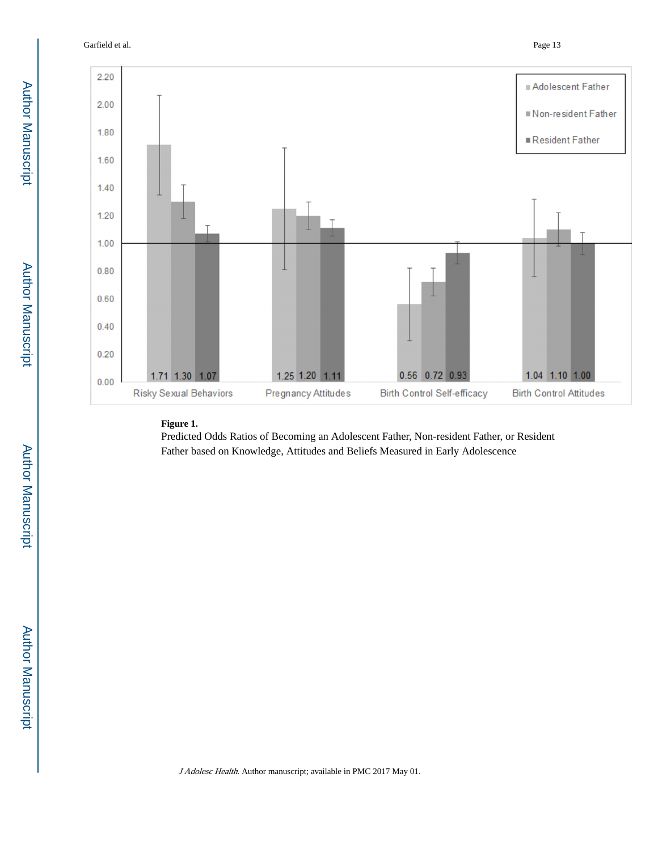Garfield et al. Page 13



#### **Figure 1.**

Predicted Odds Ratios of Becoming an Adolescent Father, Non-resident Father, or Resident Father based on Knowledge, Attitudes and Beliefs Measured in Early Adolescence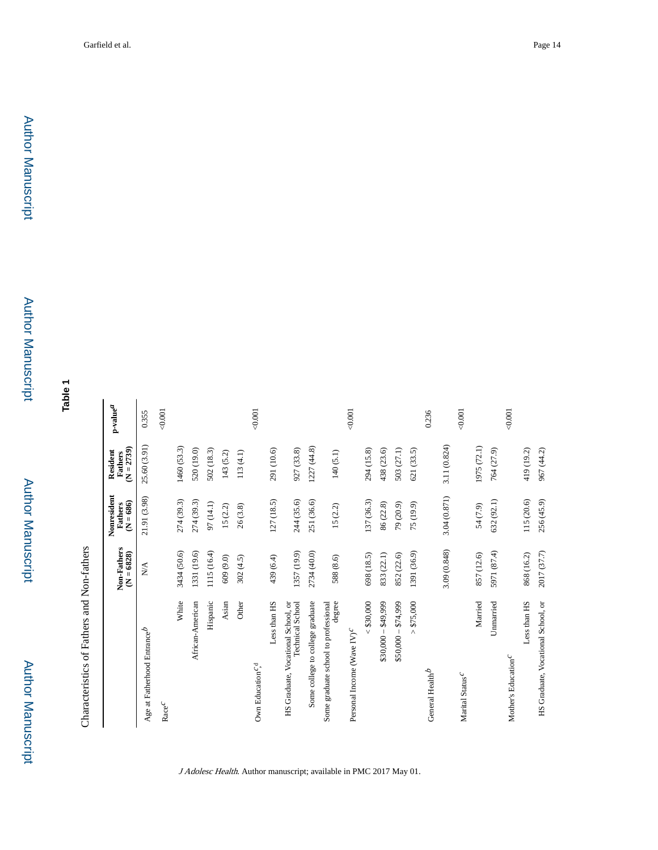**Table 1**

| I<br>$\frac{1}{1}$                  |
|-------------------------------------|
| i                                   |
| i                                   |
|                                     |
| C<br>T<br>T<br>T<br>T<br>$\ddot{ }$ |

|                                                               | Non-Fathers<br>$(N = 6828)$ | Nonresident<br>$(N = 686)$<br>Fathers | $(N = 2739)$<br>Resident<br>Fathers | $_{\rm p-value}$ |
|---------------------------------------------------------------|-----------------------------|---------------------------------------|-------------------------------------|------------------|
| Age at Fatherhood Entrance $^b$                               | $\frac{1}{N}$               | 21.91 (3.98)                          | 25.60 (3.91)                        | 0.355            |
| $\textnormal{Race}^\mathcal{C}$                               |                             |                                       |                                     | $-0.001$         |
| White                                                         | 3434 (50.6)                 | 274 (39.3)                            | 1460 (53.3)                         |                  |
| African-American                                              | 1331 (19.6)                 | 274 (39.3)                            | 520 (19.0)                          |                  |
| Hispanic                                                      | 1115 (16.4)                 | 97 (14.1)                             | 502 (18.3)                          |                  |
| Asian                                                         | 609 (9.0)                   | 15(2.2)                               | 143 (5.2)                           |                  |
| Other                                                         | 302(4.5)                    | 26(3.8)                               | 113(4.1)                            |                  |
| Own Education <sup>c</sup> , <sup>d</sup>                     |                             |                                       |                                     | 0.001            |
| Less than HS                                                  | 439 (6.4)                   | 127 (18.5)                            | 291 (10.6)                          |                  |
| HS Graduate, Vocational School, or<br><b>Technical School</b> | 1357 (19.9)                 | 244 (35.6)                            | 927 (33.8)                          |                  |
| Some college to college graduate                              | 2734 (40.0)                 | 251 (36.6)                            | 1227 (44.8)                         |                  |
| Some graduate school to professional<br>degree                | 588 (8.6)                   | 15(2.2)                               | 140(5.1)                            |                  |
| Personal Income (Wave IV) <sup>C</sup>                        |                             |                                       |                                     | $-0.001$         |
| < \$30,000                                                    | 698 (18.5)                  | 137 (36.3)                            | 294 (15.8)                          |                  |
| $$30,000 - $49,999$                                           | 833 (22.1)                  | 86 (22.8)                             | 438 (23.6)                          |                  |
| $$50,000 - $74,999$                                           | 852 (22.6)                  | 79 (20.9)                             | 503 (27.1)                          |                  |
| > \$75,000                                                    | 1391 (36.9)                 | 75 (19.9)                             | 621 (33.5)                          |                  |
| General Health <sup>b</sup>                                   |                             |                                       |                                     | 0.236            |
|                                                               | 3.09 (0.848)                | 3.04 (0.871)                          | 3.11 (0.824)                        |                  |
| Marital Status $^{\cal C}$                                    |                             |                                       |                                     | 0.001            |
| Married                                                       | 857 (12.6)                  | 54 (7.9)                              | 1975 (72.1)                         |                  |
| Unnaried                                                      | 5971 (87.4)                 | 632 (92.1)                            | 764 (27.9)                          |                  |
| Mother's Education <sup>C</sup>                               |                             |                                       |                                     | 0.001            |
| Less than HS                                                  | 868 (16.2)                  | 115 (20.6)                            | 419 (19.2)                          |                  |
| HS Graduate, Vocational School, or                            | 2017 (37.7)                 | 256 (45.9)                            | 967 (44.2)                          |                  |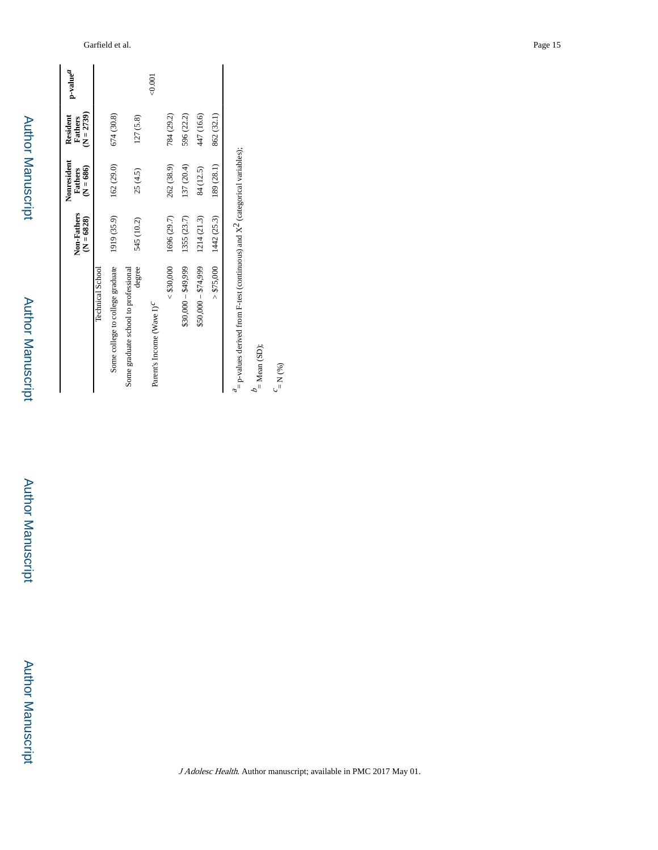Author ManuscriptAuthor Manuscript

 Author Manuscript**Author Manuscript** 

|                                                | Non-Fathers<br>$(N = 6828)$ | Nonresident<br>$(N = 686)$<br>Fathers | $(N = 2739)$<br>Resident<br>Fathers | p-value <sup>a</sup> |
|------------------------------------------------|-----------------------------|---------------------------------------|-------------------------------------|----------------------|
| Technical School                               |                             |                                       |                                     |                      |
| Some college to college graduate               | 1919 (35.9)                 | 162 (29.0)                            | 674 (30.8)                          |                      |
| degree<br>Some graduate school to professional | 545 (10.2)                  | 25(4.5)                               | 127 (5.8)                           |                      |
| Parent's Income (Wave I) <sup>C</sup>          |                             |                                       |                                     | $\overline{00}$      |
| < \$30,000                                     | 1696 (29.7)                 | 262 (38.9)                            | 784 (29.2)                          |                      |
| $$30,000 - $49,999$                            | 1355 (23.7)                 | 137 (20.4)                            | 596 (22.2)                          |                      |
| $$50,000 - $74,999$                            | 1214 (21.3)                 | 84 (12.5)                             | 447 (16.6)                          |                      |
| > \$75,000                                     | 1442 (25.3)                 | 189 (28.1)                            | 862 (32.1)                          |                      |
|                                                |                             |                                       |                                     |                      |

 $^{\it a}$  = p-values derived from F-test (continuous) and X<sup>2</sup> (categorical variables);  $\frac{a}{a}$  = p-values derived from F-test (continuous) and  $X^2$  (categorical variables);

 $b$  = Mean (SD);  $=$  Mean  $(SD)$ ;

 $c = N$  (%)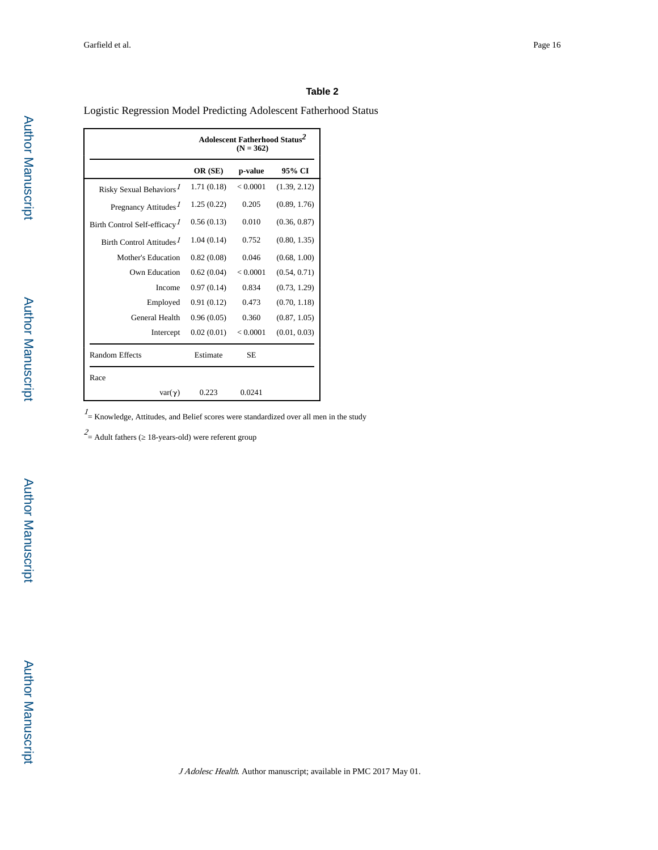#### **Table 2**

Logistic Regression Model Predicting Adolescent Fatherhood Status

|                                          |             | Adolescent Fatherhood Status <sup>2</sup><br>$(N = 362)$ |              |
|------------------------------------------|-------------|----------------------------------------------------------|--------------|
|                                          | OR (SE)     | p-value                                                  | 95% CI       |
| Risky Sexual Behaviors <sup>1</sup>      | 1.71 (0.18) | < 0.0001                                                 | (1.39, 2.12) |
| Pregnancy Attitudes <sup>1</sup>         | 1.25(0.22)  | 0.205                                                    | (0.89, 1.76) |
| Birth Control Self-efficacy <sup>1</sup> | 0.56(0.13)  | 0.010                                                    | (0.36, 0.87) |
| Birth Control Attitudes <sup>1</sup>     | 1.04(0.14)  | 0.752                                                    | (0.80, 1.35) |
| Mother's Education                       | 0.82(0.08)  | 0.046                                                    | (0.68, 1.00) |
| Own Education                            | 0.62(0.04)  | < 0.0001                                                 | (0.54, 0.71) |
| Income                                   | 0.97(0.14)  | 0.834                                                    | (0.73, 1.29) |
| Employed                                 | 0.91(0.12)  | 0.473                                                    | (0.70, 1.18) |
| General Health                           | 0.96(0.05)  | 0.360                                                    | (0.87, 1.05) |
| Intercept                                | 0.02(0.01)  | < 0.0001                                                 | (0.01, 0.03) |
| <b>Random Effects</b>                    | Estimate    | <b>SE</b>                                                |              |
| Race                                     |             |                                                          |              |
| $var(\gamma)$                            | 0.223       | 0.0241                                                   |              |

 $\frac{1}{1}$  = Knowledge, Attitudes, and Belief scores were standardized over all men in the study

 $2$  = Adult fathers ( 18-years-old) were referent group